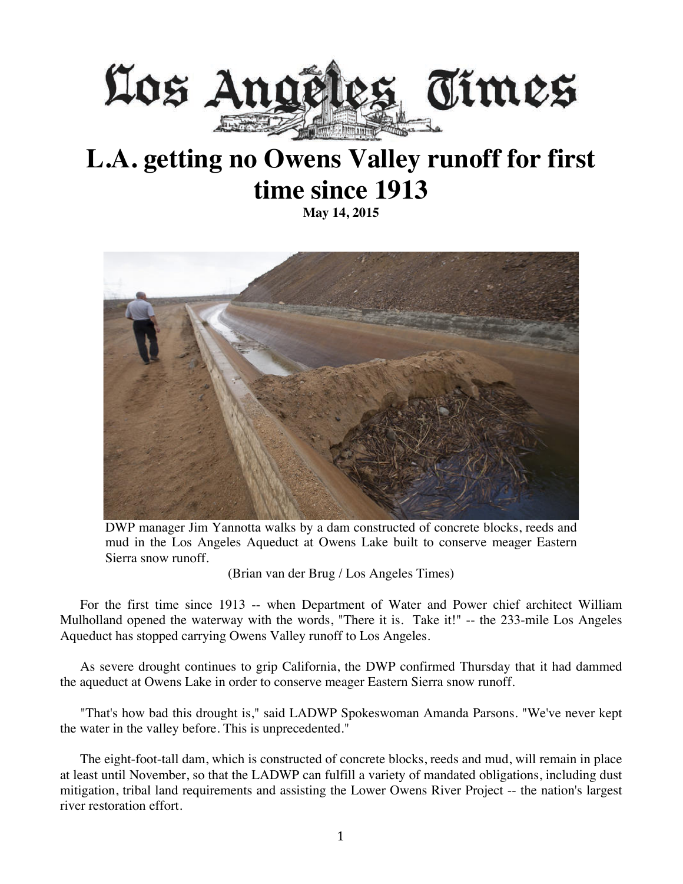

## **L.A. getting no Owens Valley runoff for first time since 1913**

**May 14, 2015**



DWP manager Jim Yannotta walks by a dam constructed of concrete blocks, reeds and mud in the Los Angeles Aqueduct at Owens Lake built to conserve meager Eastern Sierra snow runoff.

(Brian van der Brug / Los Angeles Times)

For the first time since 1913 -- when Department of Water and Power chief architect William Mulholland opened the waterway with the words, "There it is. Take it!" -- the 233-mile Los Angeles Aqueduct has stopped carrying Owens Valley runoff to Los Angeles.

As severe drought continues to grip California, the DWP confirmed Thursday that it had dammed the aqueduct at Owens Lake in order to conserve meager Eastern Sierra snow runoff.

"That's how bad this drought is," said LADWP Spokeswoman Amanda Parsons. "We've never kept the water in the valley before. This is unprecedented."

The eight-foot-tall dam, which is constructed of concrete blocks, reeds and mud, will remain in place at least until November, so that the LADWP can fulfill a variety of mandated obligations, including dust mitigation, tribal land requirements and assisting the Lower Owens River Project -- the nation's largest river restoration effort.